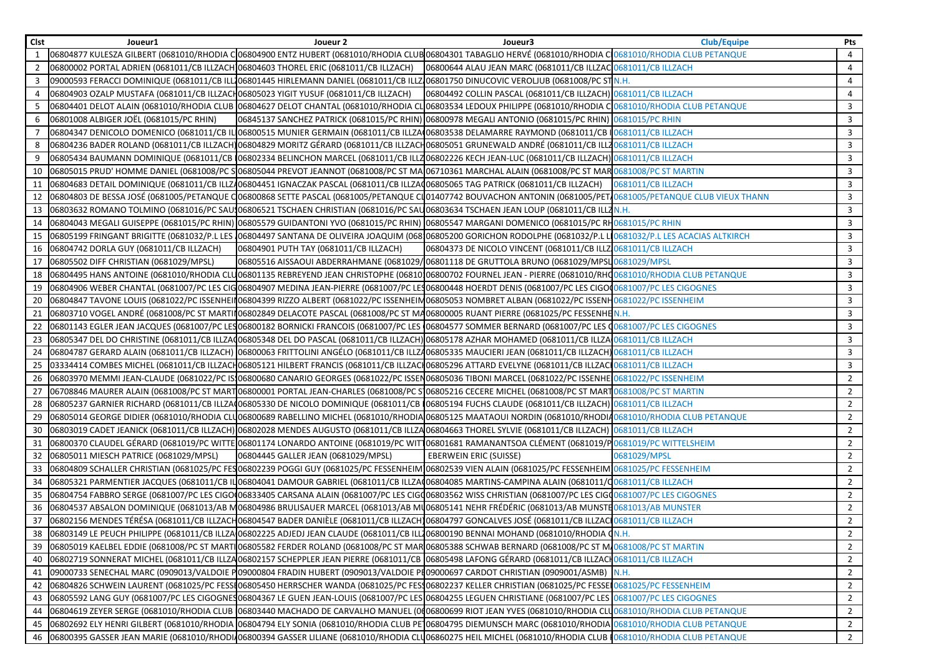| <b>Clst</b>    | Joueur1                                                                              | Joueur 2                               | Joueur3                                                                                                                                                                                                              | <b>Club/Equipe</b> | Pts            |
|----------------|--------------------------------------------------------------------------------------|----------------------------------------|----------------------------------------------------------------------------------------------------------------------------------------------------------------------------------------------------------------------|--------------------|----------------|
|                |                                                                                      |                                        | 06804877 KULESZA GILBERT (0681010/RHODIA CO6804900 ENTZ HUBERT (0681010/RHODIA CLUBO6804301 TABAGLIO HERVÉ (0681010/RHODIA CO681010/RHODIA CLUB PETANQUE                                                             |                    | 4              |
| 2              | 06800002 PORTAL ADRIEN (0681011/CB ILLZACH 06804603 THOREL ERIC (0681011/CB ILLZACH) |                                        | 06800644 ALAU JEAN MARC (0681011/CB ILLZAC 0681011/CB ILLZACH                                                                                                                                                        |                    | $\overline{4}$ |
| 3              |                                                                                      |                                        | 09000593 FERACCI DOMINIQUE (0681011/CB ILL106801445 HIRLEMANN DANIEL (0681011/CB ILLZ106801750 DINUCOVIC VEROLJUB (0681008/PC STN.H.                                                                                 |                    | 4              |
| $\overline{4}$ | 06804903 OZALP MUSTAFA (0681011/CB ILLZACH06805023 YIGIT YUSUF (0681011/CB ILLZACH)  |                                        | 06804492 COLLIN PASCAL (0681011/CB ILLZACH) 0681011/CB ILLZACH                                                                                                                                                       |                    | 4              |
| 5              |                                                                                      |                                        | 06804401 DELOT ALAIN (0681010/RHODIA CLUB 06804627 DELOT CHANTAL (0681010/RHODIA CLO6803534 LEDOUX PHILIPPE (0681010/RHODIA C 0681010/RHODIA CLUB PETANQUE                                                           |                    | 3              |
| 6              | 06801008 ALBIGER JOËL (0681015/PC RHIN)                                              |                                        | 06845137 SANCHEZ PATRICK (0681015/PC RHIN) 06800978 MEGALI ANTONIO (0681015/PC RHIN) 0681015/PC RHIN                                                                                                                 |                    | 3              |
|                |                                                                                      |                                        | 06804347 DENICOLO DOMENICO (0681011/CB IL 06800515 MUNIER GERMAIN (0681011/CB ILLZA 06803538 DELAMARRE RAYMOND (0681011/CB IO681011/CB ILLZACH                                                                       |                    | 3              |
|                |                                                                                      |                                        | 06804236 BADER ROLAND (0681011/CB ILLZACH)06804829 MORITZ GÉRARD (0681011/CB ILLZACH06805051 GRUNEWALD ANDRÉ (0681011/CB ILLZ0681011/CB ILLZACH                                                                      |                    | 3              |
|                |                                                                                      |                                        | 06805434 BAUMANN DOMINIQUE (0681011/CB 106802334 BELINCHON MARCEL (0681011/CB ILLZ06802226 KECH JEAN-LUC (0681011/CB ILLZACH) 0681011/CB ILLZACH                                                                     |                    | $\mathbf{3}$   |
| 10             |                                                                                      |                                        | 06805015 PRUD' HOMME DANIEL (0681008/PC SO6805044 PREVOT JEANNOT (0681008/PC ST MA 06710361 MARCHAL ALAIN (0681008/PC ST MAR 0681008/PC ST MARTIN                                                                    |                    | $\overline{3}$ |
| 11             |                                                                                      |                                        | 06804683 DETAIL DOMINIQUE (0681011/CB ILLZ406804451 IGNACZAK PASCAL (0681011/CB ILLZA006805065 TAG PATRICK (0681011/CB ILLZACH) 0681011/CB ILLZACH                                                                   |                    | $\overline{3}$ |
| 12             |                                                                                      |                                        | 06804803 DE BESSA JOSÉ (0681005/PETANQUE CO6800868 SETTE PASCAL (0681005/PETANQUE CI01407742 BOUVACHON ANTONIN (0681005/PET 0681005/PETANQUE CLUB VIEUX THANN                                                        |                    | $\mathbf{3}$   |
| 13             |                                                                                      |                                        | 06803632 ROMANO TOLMINO (0681016/PC SAU106806521 TSCHAEN CHRISTIAN (0681016/PC SAU06803634 TSCHAEN JEAN LOUP (0681011/CB ILLZN.H.                                                                                    |                    | $\overline{3}$ |
| 14             |                                                                                      |                                        | 06804043 MEGALI GUISEPPE (0681015/PC RHIN) 06805579 GUIDANTONI YVO (0681015/PC RHIN) 06805547 MARGANI DOMENICO (0681015/PC RH0681015/PC RHIN                                                                         |                    | $\mathbf{3}$   |
| 15             |                                                                                      |                                        | 06805199 FRINGANT BRIGITTE (0681032/P.L LES 106804497 SANTANA DE OLIVEIRA JOAQUIM (068106805200 GORICHON RODOLPHE (0681032/P.L LI0681032/P.L LES ACACIAS ALTKIRCH                                                    |                    | 3              |
| 16             | 06804742 DORLA GUY (0681011/CB ILLZACH)                                              | 06804901 PUTH TAY (0681011/CB ILLZACH) | 06804373 DE NICOLO VINCENT (0681011/CB ILLZ 0681011/CB ILLZACH                                                                                                                                                       |                    | $\mathbf{3}$   |
| 17             | 06805502 DIFF CHRISTIAN (0681029/MPSL)                                               |                                        | 06805516 AISSAOUI ABDERRAHMANE (0681029/06801118 DE GRUTTOLA BRUNO (0681029/MPSL 0681029/MPSL                                                                                                                        |                    | $\mathbf{3}$   |
| 18             |                                                                                      |                                        | 06804495 HANS ANTOINE (0681010/RHODIA CLU06801135 REBREYEND JEAN CHRISTOPHE (06810106800702 FOURNEL JEAN - PIERRE (0681010/RHO681010/RHODIA CLUB PETANQUE                                                            |                    | $\mathbf{3}$   |
| 19             |                                                                                      |                                        | 06804906 WEBER CHANTAL (0681007/PC LES CIG06804907 MEDINA JEAN-PIERRE (0681007/PC LES06800448 HOERDT DENIS (0681007/PC LES CIGO00681007/PC LES CIGO00681007/PC LES CIGO00681007/PC LES CIGO00681007/PC LES CIGO001ES |                    | $\overline{3}$ |
| 20             |                                                                                      |                                        | 06804847 TAVONE LOUIS (0681022/PC ISSENHEIIO6804399 RIZZO ALBERT (0681022/PC ISSENHEIN06805053 NOMBRET ALBAN (0681022/PC ISSENH0681022/PC ISSENHEIM                                                                  |                    | $\mathbf{3}$   |
| 21             |                                                                                      |                                        | 06803710 VOGEL ANDRÉ (0681008/PC ST MARTIN06802849 DELACOTE PASCAL (0681008/PC ST MA06800005 RUANT PIERRE (0681025/PC FESSENHEN.H.                                                                                   |                    | 3              |
| 22             |                                                                                      |                                        | 06801143 EGLER JEAN JACQUES (0681007/PC LESO6800182 BORNICKI FRANCOIS (0681007/PC LES 06804577 SOMMER BERNARD (0681007/PC LES 0681007/PC LES CIGOGNES                                                                |                    | 3              |
|                |                                                                                      |                                        | 23 06805347 DEL DO CHRISTINE (0681011/CB ILLZAQ06805348 DEL DO PASCAL (0681011/CB ILLZACH) 06805178 AZHAR MOHAMED (0681011/CB ILLZA 0681011/CB ILLZACH                                                               |                    | 3              |
| 24             |                                                                                      |                                        | 06804787 GERARD ALAIN (0681011/CB ILLZACH) 06800063 FRITTOLINI ANGÉLO (0681011/CB ILLZ406805335 MAUCIERI JEAN (0681011/CB ILLZACH) 0681011/CB ILLZACH                                                                |                    | 3              |
| 25             |                                                                                      |                                        | 0681011/CB ILLZACI0681011/CB ILLZACH06805121 HILBERT FRANCIS (0681011/CB ILLZACI06805296 ATTARD EVELYNE (0681011/CB ILLZACI0681011/CB ILLZACI0681011/CB ILLZACI                                                      |                    | 3              |
|                |                                                                                      |                                        | 26 06803970 MEMMI JEAN-CLAUDE (0681022/PC IS106800680 CANARIO GEORGES (0681022/PC ISSEN06805036 TIBONI MARCEL (0681022/PC ISSENHE 0681022/PC ISSENHEIM                                                               |                    | $\overline{2}$ |
|                |                                                                                      |                                        | 27 06708846 MAURER ALAIN (0681008/PC ST MART 06800001 PORTAL JEAN-CHARLES (0681008/PC S 06805216 CECERE MICHEL (0681008/PC ST MART 0681008/PC ST MARTIN                                                              |                    | $\overline{2}$ |
| 28             |                                                                                      |                                        | 06805237 GARNIER RICHARD (0681011/CB ILLZA006805330 DE NICOLO DOMINIQUE (0681011/CB 06805194 FUCHS CLAUDE (0681011/CB ILLZACH) 0681011/CB ILLZACH                                                                    |                    | $2^{\circ}$    |
| 29             |                                                                                      |                                        | 06805014 GEORGE DIDIER (0681010/RHODIA CLU06800689 RABELLINO MICHEL (0681010/RHODIA 06805125 MAATAOUI NORDIN (0681010/RHODIA0681010/RHODIA CLUB PETANQUE                                                             |                    | $2^{\circ}$    |
| 30             |                                                                                      |                                        | 06803019 CADET JEANICK (0681011/CB ILLZACH) 06802028 MENDES AUGUSTO (0681011/CB ILLZA06804663 THOREL SYLVIE (0681011/CB ILLZACH) 0681011/CB ILLZACH                                                                  |                    | 2              |
| 31             |                                                                                      |                                        | 06800370 CLAUDEL GÉRARD (0681019/PC WITTE 06801174 LONARDO ANTOINE (0681019/PC WIT 06801681 RAMANANTSOA CLÉMENT (0681019/P 0681019/PC WITTELSHEIM                                                                    |                    | $\overline{2}$ |
| 32             | 06805011 MIESCH PATRICE (0681029/MPSL)                                               | 06804445 GALLER JEAN (0681029/MPSL)    | <b>EBERWEIN ERIC (SUISSE)</b>                                                                                                                                                                                        | 0681029/MPSL       | $\overline{2}$ |
| 33             |                                                                                      |                                        | 06804809 SCHALLER CHRISTIAN (0681025/PC FESO6802239 POGGI GUY (0681025/PC FESSENHEIM 06802539 VIEN ALAIN (0681025/PC FESSENHEIM 0681025/PC FESSENHEIM                                                                |                    | $\overline{2}$ |
| 34             |                                                                                      |                                        | 06805321 PARMENTIER JACQUES (0681011/CB ILO6804041 DAMOUR GABRIEL (0681011/CB ILLZA(06804085 MARTINS-CAMPINA ALAIN (0681011/C0681011/CB ILLZACH                                                                      |                    | $\overline{2}$ |
| 35             |                                                                                      |                                        | 06804754 FABBRO SERGE (0681007/PC LES CIGO(06833405 CARSANA ALAIN (0681007/PC LES CIG(06803562 WISS CHRISTIAN (0681007/PC LES CIG(0681007/PC LES CIGO 0681007/PC LES CIGO OFIS                                       |                    | $\overline{2}$ |
| 36             |                                                                                      |                                        | 06804537 ABSALON DOMINIQUE (0681013/AB M06804986 BRULISAUER MARCEL (0681013/AB MIJ06805141 NEHR FRÉDÉRIC (0681013/AB MUNSTE0681013/AB MUNSTER                                                                        |                    | $\overline{2}$ |
| 37             |                                                                                      |                                        | 06802156 MENDES TÉRÉSA (0681011/CB ILLZACH06804547 BADER DANIÈLE (0681011/CB ILLZACH)06804797 GONCALVES JOSÉ (0681011/CB ILLZACI 0681011/CB ILLZACI 0681011/CB ILLZACH                                               |                    | $\overline{2}$ |
| 38             |                                                                                      |                                        | 06803149 LE PEUCH PHILIPPE (0681011/CB ILLZA 06802225 ADJEDJ JEAN CLAUDE (0681011/CB ILL 06800190 BENNAI MOHAND (0681010/RHODIA (N.H.                                                                                |                    | $\overline{2}$ |
|                |                                                                                      |                                        | 39 06805019 KAELBEL EDDIE (0681008/PC ST MARTIO6805582 FERDER ROLAND (0681008/PC ST MARO6805388 SCHWAB BERNARD (0681008/PC ST M10681008/PC ST MARTIN                                                                 |                    | $\overline{2}$ |
|                |                                                                                      |                                        | 40 06802719 SONNERAT MICHEL (0681011/CB ILLZA06802157 SCHEPPLER JEAN PIERRE (0681011/CB 06805498 LAFONG GÉRARD (0681011/CB ILLZACH0681011/CB ILLZACH                                                                 |                    | $\overline{2}$ |
| 41             |                                                                                      |                                        | 09000733 SENECHAL MARC (0909013/VALDOIE PO9000804 FRADIN HUBERT (0909013/VALDOIE PI09000697 CARDOT CHRISTIAN (0909001/ASMB) N.H.                                                                                     |                    | $\overline{2}$ |
|                |                                                                                      |                                        | 42 06804826 SCHWEIN LAURENT (0681025/PC FESSE06805450 HERRSCHER WANDA (0681025/PC FES306802237 KELLER CHRISTIAN (0681025/PC FESSEI 0681025/PC FESSENIEIM                                                             |                    | $2^{\circ}$    |
|                |                                                                                      |                                        | 43 06805592 LANG GUY (0681007/PC LES CIGOGNES06804367 LE GUEN JEAN-LOUIS (0681007/PC LES 06804255 LEGUEN CHRISTIANE (0681007/PC LES 0681007/PC LES CIGOGNES                                                          |                    | $2^{\circ}$    |
|                |                                                                                      |                                        | 44   06804619 ZEYER SERGE (0681010/RHODIA CLUB   06803440 MACHADO DE CARVALHO MANUEL (0006800699 RIOT JEAN YVES (0681010/RHODIA CLUB681010/RHODIA CLUB PETANQUE                                                      |                    | $2^{\circ}$    |
|                |                                                                                      |                                        | 45 06802692 ELY HENRI GILBERT (0681010/RHODIA 06804794 ELY SONIA (0681010/RHODIA CLUB PE 06804795 DIEMUNSCH MARC (0681010/RHODIA 0681010/RHODIA CLUB PETANQUE                                                        |                    | $\overline{2}$ |
|                |                                                                                      |                                        | 46 06800395 GASSER JEAN MARIE (0681010/RHODI/06800394 GASSER LILIANE (0681010/RHODIA CLU06860275 HEIL MICHEL (0681010/RHODIA CLUB  0681010/RHODIA CLUB PETANQUE                                                      |                    | $2^{\circ}$    |